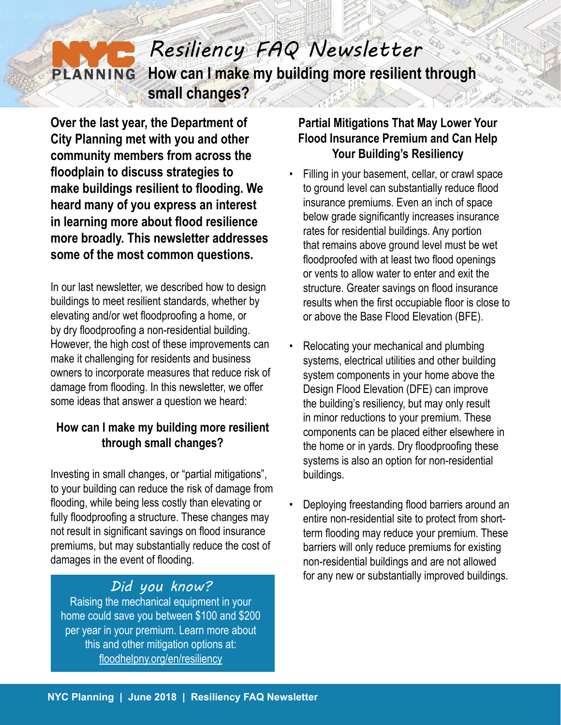## *Resiliency FAQ Newsletter* **How can I make my building more resilient through PLANNING small changes?**

**Over the last year, the Department of City Planning met with you and other community members from across the floodplain to discuss strategies to make buildings resilient to flooding. We heard many of you express an interest in learning more about flood resilience more broadly. This newsletter addresses some of the most common questions.**

In our last newsletter, we described how to design buildings to meet resilient standards, whether by elevating and/or wet floodproofing a home, or by dry floodproofing a non-residential building. However, the high cost of these improvements can make it challenging for residents and business owners to incorporate measures that reduce risk of damage from flooding. In this newsletter, we offer some ideas that answer a question we heard:

## **How can I make my building more resilient through small changes?**

Investing in small changes, or "partial mitigations", to your building can reduce the risk of damage from flooding, while being less costly than elevating or fully floodproofing a structure. These changes may not result in significant savings on flood insurance premiums, but may substantially reduce the cost of damages in the event of flooding.

Raising the mechanical equipment in your home could save you between \$100 and \$200 per year in your premium. Learn more about this and other mitigation options at: [floodhelpny.org/en/resiliency](http://floodhelpny.org/en/resiliency  )

### **Partial Mitigations That May Lower Your Flood Insurance Premium and Can Help Your Building's Resiliency**

- Filling in your basement, cellar, or crawl space to ground level can substantially reduce flood insurance premiums. Even an inch of space below grade significantly increases insurance rates for residential buildings. Any portion that remains above ground level must be wet floodproofed with at least two flood openings or vents to allow water to enter and exit the structure. Greater savings on flood insurance results when the first occupiable floor is close to or above the Base Flood Elevation (BFE).
- Relocating your mechanical and plumbing systems, electrical utilities and other building system components in your home above the Design Flood Elevation (DFE) can improve the building's resiliency, but may only result in minor reductions to your premium. These components can be placed either elsewhere in the home or in yards. Dry floodproofing these systems is also an option for non-residential buildings.
- Deploying freestanding flood barriers around an entire non-residential site to protect from shortterm flooding may reduce your premium. These barriers will only reduce premiums for existing non-residential buildings and are not allowed for any new or substantially improved buildings. *Did you know?*